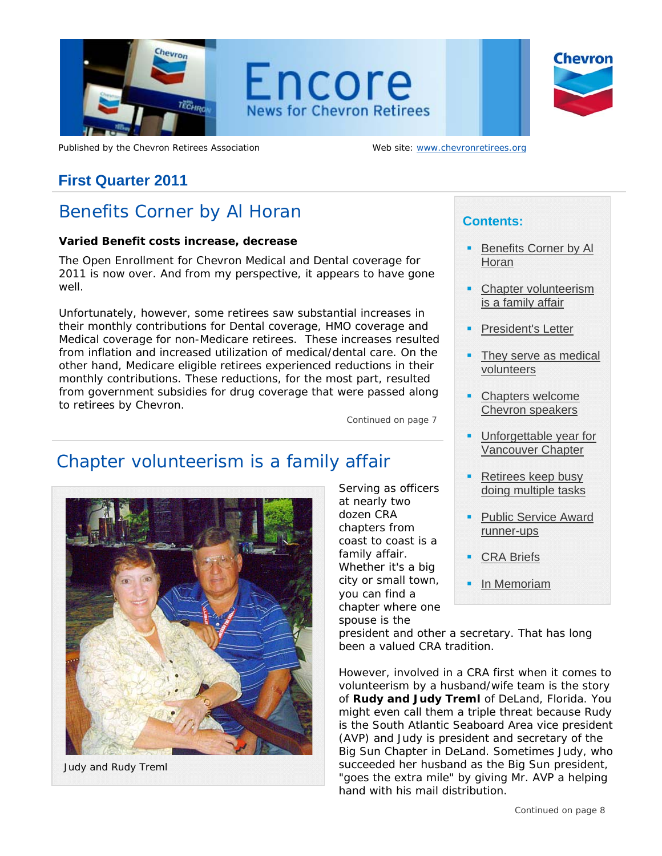

Published by the Chevron Retirees Association Web site: www.chevronretirees.org

# **First Quarter 2011**

# Benefits Corner by Al Horan

### **Varied Benefit costs increase, decrease**

The Open Enrollment for Chevron Medical and Dental coverage for 2011 is now over. And from my perspective, it appears to have gone well.

Unfortunately, however, some retirees saw substantial increases in their monthly contributions for Dental coverage, HMO coverage and Medical coverage for non-Medicare retirees. These increases resulted from inflation and increased utilization of medical/dental care. On the other hand, Medicare eligible retirees experienced reductions in their monthly contributions. These reductions, for the most part, resulted from government subsidies for drug coverage that were passed along to retirees by Chevron.

*Continued on page 7*

# Chapter volunteerism is a family affair



*Judy and Rudy Treml* 

Serving as officers at nearly two dozen CRA chapters from coast to coast is a family affair. Whether it's a big city or small town, you can find a chapter where one spouse is the

# **Contents:**

- Benefits Corner by Al Horan
- Chapter volunteerism is a family affair
- President's Letter
- They serve as medical volunteers
- Chapters welcome Chevron speakers
- Unforgettable year for Vancouver Chapter
- Retirees keep busy doing multiple tasks
- Public Service Award runner-ups
- CRA Briefs
- In Memoriam

president and other a secretary. That has long been a valued CRA tradition.

However, involved in a CRA first when it comes to volunteerism by a husband/wife team is the story of **Rudy and Judy Treml** of DeLand, Florida. You might even call them a triple threat because Rudy is the South Atlantic Seaboard Area vice president (AVP) and Judy is president and secretary of the Big Sun Chapter in DeLand. Sometimes Judy, who succeeded her husband as the Big Sun president, "goes the extra mile" by giving Mr. AVP a helping hand with his mail distribution.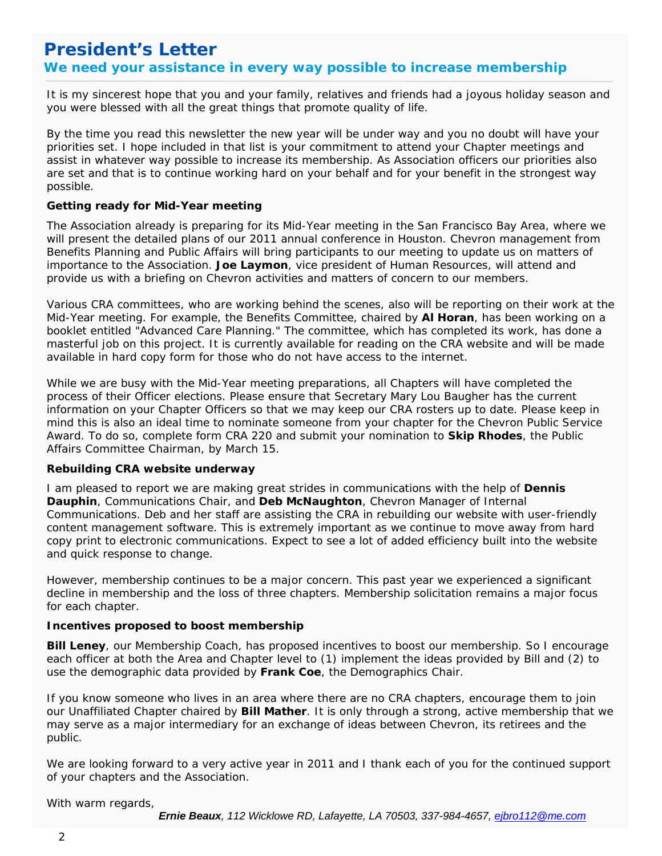# **President's Letter We need your assistance in every way possible to increase membership**

 you were blessed with all the great things that promote quality of life. It is my sincerest hope that you and your family, relatives and friends had a joyous holiday season and

By the time you read this newsletter the new year will be under way and you no doubt will have your priorities set. I hope included in that list is your commitment to attend your Chapter meetings and assist in whatever way possible to increase its membership. As Association officers our priorities also are set and that is to continue working hard on your behalf and for your benefit in the strongest way possible.

### **Getting ready for Mid-Year meeting**

The Association already is preparing for its Mid-Year meeting in the San Francisco Bay Area, where we will present the detailed plans of our 2011 annual conference in Houston. Chevron management from Benefits Planning and Public Affairs will bring participants to our meeting to update us on matters of importance to the Association. **Joe Laymon**, vice president of Human Resources, will attend and provide us with a briefing on Chevron activities and matters of concern to our members.

Various CRA committees, who are working behind the scenes, also will be reporting on their work at the Mid-Year meeting. For example, the Benefits Committee, chaired by **Al Horan**, has been working on a booklet entitled "Advanced Care Planning." The committee, which has completed its work, has done a masterful job on this project. It is currently available for reading on the CRA website and will be made available in hard copy form for those who do not have access to the internet.

While we are busy with the Mid-Year meeting preparations, all Chapters will have completed the process of their Officer elections. Please ensure that Secretary Mary Lou Baugher has the current information on your Chapter Officers so that we may keep our CRA rosters up to date. Please keep in mind this is also an ideal time to nominate someone from your chapter for the Chevron Public Service Award. To do so, complete form CRA 220 and submit your nomination to **Skip Rhodes**, the Public Affairs Committee Chairman, by March 15.

### **Rebuilding CRA website underway**

I am pleased to report we are making great strides in communications with the help of **Dennis Dauphin**, Communications Chair, and **Deb McNaughton**, Chevron Manager of Internal Communications. Deb and her staff are assisting the CRA in rebuilding our website with user-friendly content management software. This is extremely important as we continue to move away from hard copy print to electronic communications. Expect to see a lot of added efficiency built into the website and quick response to change.

However, membership continues to be a major concern. This past year we experienced a significant decline in membership and the loss of three chapters. Membership solicitation remains a major focus for each chapter.

### **Incentives proposed to boost membership**

**Bill Leney**, our Membership Coach, has proposed incentives to boost our membership. So I encourage each officer at both the Area and Chapter level to (1) implement the ideas provided by Bill and (2) to use the demographic data provided by **Frank Coe**, the Demographics Chair.

 may serve as a major intermediary for an exchange of ideas between Chevron, its retirees and the If you know someone who lives in an area where there are no CRA chapters, encourage them to join our Unaffiliated Chapter chaired by **Bill Mather**. It is only through a strong, active membership that we public.

We are looking forward to a very active year in 2011 and I thank each of you for the continued support of your chapters and the Association.

With warm regards,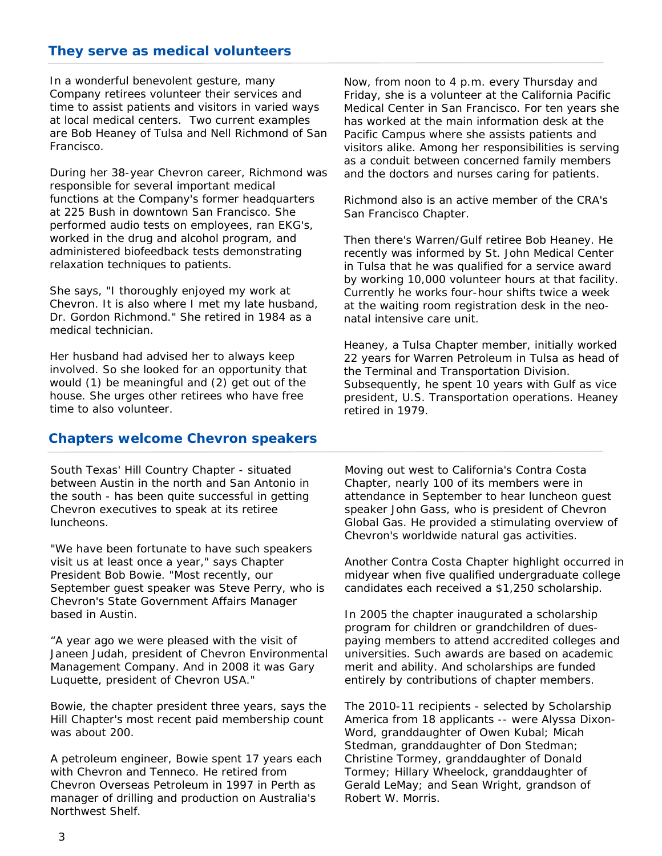# **They serve as medical volunteers**

at local medical centers. Two current examples In a wonderful benevolent gesture, many Company retirees volunteer their services and time to assist patients and visitors in varied ways are Bob Heaney of Tulsa and Nell Richmond of San Francisco.

During her 38-year Chevron career, Richmond was responsible for several important medical functions at the Company's former headquarters at 225 Bush in downtown San Francisco. She performed audio tests on employees, ran EKG's, worked in the drug and alcohol program, and administered biofeedback tests demonstrating relaxation techniques to patients.

She says, "I thoroughly enjoyed my work at Chevron. It is also where I met my late husband, Dr. Gordon Richmond." She retired in 1984 as a medical technician.

Her husband had advised her to always keep involved. So she looked for an opportunity that would (1) be meaningful and (2) get out of the house. She urges other retirees who have free time to also volunteer.

### **Chapters welcome Chevron speakers**

South Texas' Hill Country Chapter - situated between Austin in the north and San Antonio in the south - has been quite successful in getting Chevron executives to speak at its retiree luncheons.

"We have been fortunate to have such speakers visit us at least once a year," says Chapter President Bob Bowie. "Most recently, our September guest speaker was Steve Perry, who is Chevron's State Government Affairs Manager based in Austin.

"A year ago we were pleased with the visit of Janeen Judah, president of Chevron Environmental Management Company. And in 2008 it was Gary Luquette, president of Chevron USA."

Bowie, the chapter president three years, says the Hill Chapter's most recent paid membership count was about 200.

A petroleum engineer, Bowie spent 17 years each with Chevron and Tenneco. He retired from Chevron Overseas Petroleum in 1997 in Perth as manager of drilling and production on Australia's Northwest Shelf.

Now, from noon to 4 p.m. every Thursday and Friday, she is a volunteer at the California Pacific Medical Center in San Francisco. For ten years she has worked at the main information desk at the Pacific Campus where she assists patients and visitors alike. Among her responsibilities is serving as a conduit between concerned family members and the doctors and nurses caring for patients.

Richmond also is an active member of the CRA's San Francisco Chapter.

Then there's Warren/Gulf retiree Bob Heaney. He recently was informed by St. John Medical Center in Tulsa that he was qualified for a service award by working 10,000 volunteer hours at that facility. Currently he works four-hour shifts twice a week at the waiting room registration desk in the neonatal intensive care unit.

Heaney, a Tulsa Chapter member, initially worked 22 years for Warren Petroleum in Tulsa as head of the Terminal and Transportation Division. Subsequently, he spent 10 years with Gulf as vice president, U.S. Transportation operations. Heaney retired in 1979.

Moving out west to California's Contra Costa Chapter, nearly 100 of its members were in attendance in September to hear luncheon guest speaker John Gass, who is president of Chevron Global Gas. He provided a stimulating overview of Chevron's worldwide natural gas activities.

Another Contra Costa Chapter highlight occurred in midyear when five qualified undergraduate college candidates each received a \$1,250 scholarship.

In 2005 the chapter inaugurated a scholarship program for children or grandchildren of duespaying members to attend accredited colleges and universities. Such awards are based on academic merit and ability. And scholarships are funded entirely by contributions of chapter members.

The 2010-11 recipients - selected by Scholarship America from 18 applicants -- were Alyssa Dixon-Word, granddaughter of Owen Kubal; Micah Stedman, granddaughter of Don Stedman; Christine Tormey, granddaughter of Donald Tormey; Hillary Wheelock, granddaughter of Gerald LeMay; and Sean Wright, grandson of Robert W. Morris.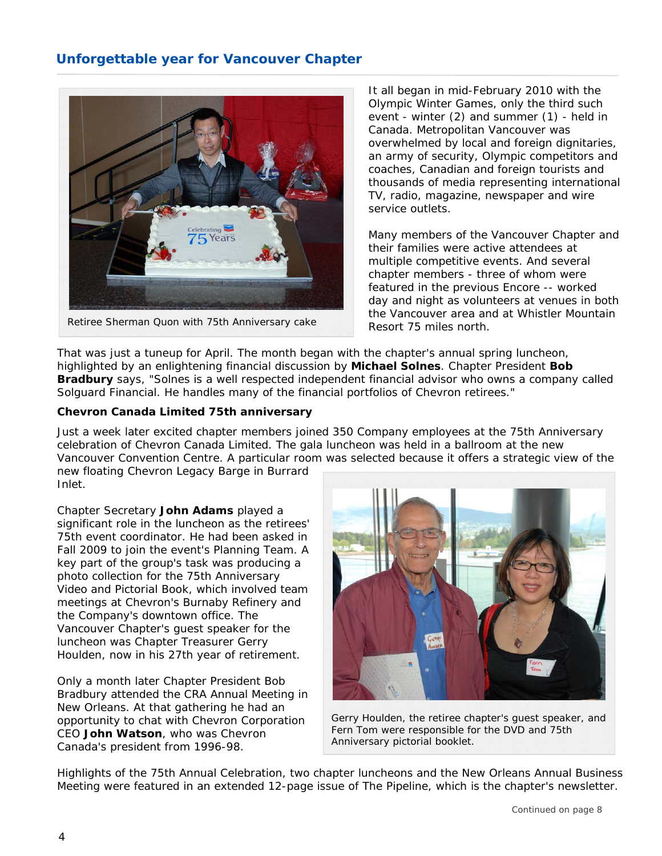# **Unforgettable year for Vancouver Chapter**



*Retiree Sherman Quon with 75th Anniversary cake* 

It all began in mid-February 2010 with the Olympic Winter Games, only the third such event - winter (2) and summer (1) - held in Canada. Metropolitan Vancouver was overwhelmed by local and foreign dignitaries, an army of security, Olympic competitors and coaches, Canadian and foreign tourists and thousands of media representing international TV, radio, magazine, newspaper and wire service outlets.

Many members of the Vancouver Chapter and their families were active attendees at multiple competitive events. And several chapter members - three of whom were featured in the previous Encore -- worked day and night as volunteers at venues in both the Vancouver area and at Whistler Mountain Resort 75 miles north.

That was just a tuneup for April. The month began with the chapter's annual spring luncheon, highlighted by an enlightening financial discussion by **Michael Solnes**. Chapter President **Bob Bradbury** says, "Solnes is a well respected independent financial advisor who owns a company called Solguard Financial. He handles many of the financial portfolios of Chevron retirees."

### **Chevron Canada Limited 75th anniversary**

Just a week later excited chapter members joined 350 Company employees at the 75th Anniversary celebration of Chevron Canada Limited. The gala luncheon was held in a ballroom at the new Vancouver Convention Centre. A particular room was selected because it offers a strategic view of the

new floating Chevron Legacy Barge in Burrard Inlet.

Chapter Secretary **John Adams** played a significant role in the luncheon as the retirees' 75th event coordinator. He had been asked in Fall 2009 to join the event's Planning Team. A key part of the group's task was producing a photo collection for the 75th Anniversary Video and Pictorial Book, which involved team meetings at Chevron's Burnaby Refinery and the Company's downtown office. The Vancouver Chapter's guest speaker for the luncheon was Chapter Treasurer Gerry Houlden, now in his 27th year of retirement.

Only a month later Chapter President Bob Bradbury attended the CRA Annual Meeting in New Orleans. At that gathering he had an opportunity to chat with Chevron Corporation CEO **John Watson**, who was Chevron Canada's president from 1996-98.



*Gerry Houlden, the retiree chapter's guest speaker, and Fern Tom were responsible for the DVD and 75th Anniversary pictorial booklet.* 

Highlights of the 75th Annual Celebration, two chapter luncheons and the New Orleans Annual Business Meeting were featured in an extended 12-page issue of The Pipeline, which is the chapter's newsletter.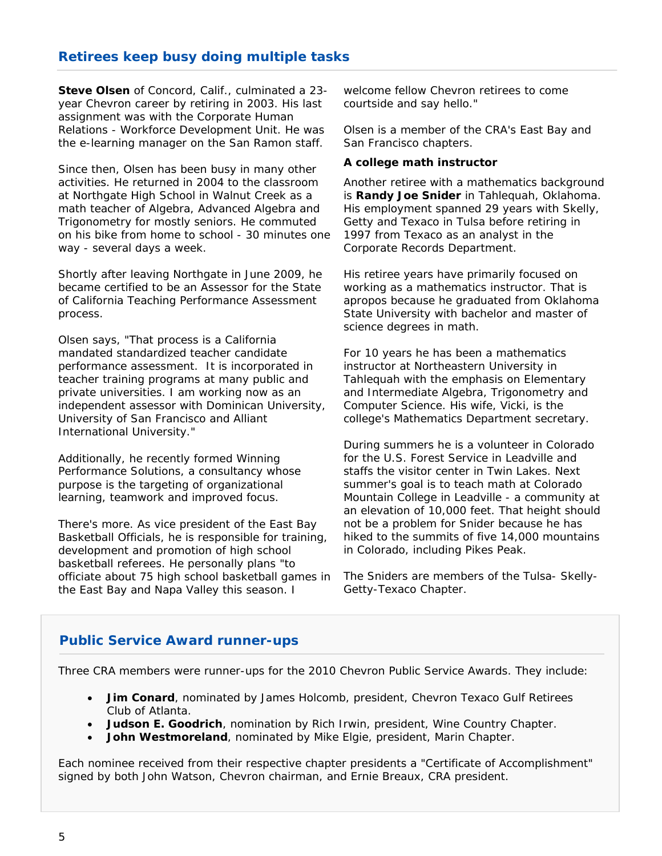# **Retirees keep busy doing multiple tasks**

 **Steve Olsen** of Concord, Calif., culminated a 23 year Chevron career by retiring in 2003. His last assignment was with the Corporate Human Relations - Workforce Development Unit. He was the e-learning manager on the San Ramon staff.

Since then, Olsen has been busy in many other activities. He returned in 2004 to the classroom at Northgate High School in Walnut Creek as a math teacher of Algebra, Advanced Algebra and Trigonometry for mostly seniors. He commuted on his bike from home to school - 30 minutes one way - several days a week.

Shortly after leaving Northgate in June 2009, he became certified to be an Assessor for the State of California Teaching Performance Assessment process.

Olsen says, "That process is a California mandated standardized teacher candidate performance assessment. It is incorporated in teacher training programs at many public and private universities. I am working now as an independent assessor with Dominican University, University of San Francisco and Alliant International University."

Additionally, he recently formed Winning Performance Solutions, a consultancy whose purpose is the targeting of organizational learning, teamwork and improved focus.

There's more. As vice president of the East Bay Basketball Officials, he is responsible for training, development and promotion of high school basketball referees. He personally plans "to officiate about 75 high school basketball games in the East Bay and Napa Valley this season. I

welcome fellow Chevron retirees to come courtside and say hello."

Olsen is a member of the CRA's East Bay and San Francisco chapters.

### **A college math instructor**

Another retiree with a mathematics background is **Randy Joe Snider** in Tahlequah, Oklahoma. His employment spanned 29 years with Skelly, Getty and Texaco in Tulsa before retiring in 1997 from Texaco as an analyst in the Corporate Records Department.

His retiree years have primarily focused on working as a mathematics instructor. That is apropos because he graduated from Oklahoma State University with bachelor and master of science degrees in math.

For 10 years he has been a mathematics instructor at Northeastern University in Tahlequah with the emphasis on Elementary and Intermediate Algebra, Trigonometry and Computer Science. His wife, Vicki, is the college's Mathematics Department secretary.

During summers he is a volunteer in Colorado for the U.S. Forest Service in Leadville and staffs the visitor center in Twin Lakes. Next summer's goal is to teach math at Colorado Mountain College in Leadville - a community at an elevation of 10,000 feet. That height should not be a problem for Snider because he has hiked to the summits of five 14,000 mountains in Colorado, including Pikes Peak.

The Sniders are members of the Tulsa- Skelly-Getty-Texaco Chapter.

# **Public Service Award runner-ups**

Three CRA members were runner-ups for the 2010 Chevron Public Service Awards. They include:

- **Jim Conard**, nominated by James Holcomb, president, Chevron Texaco Gulf Retirees Club of Atlanta.
- **Judson E. Goodrich**, nomination by Rich Irwin, president, Wine Country Chapter.
- **John Westmoreland**, nominated by Mike Elgie, president, Marin Chapter.

Each nominee received from their respective chapter presidents a "Certificate of Accomplishment" signed by both John Watson, Chevron chairman, and Ernie Breaux, CRA president.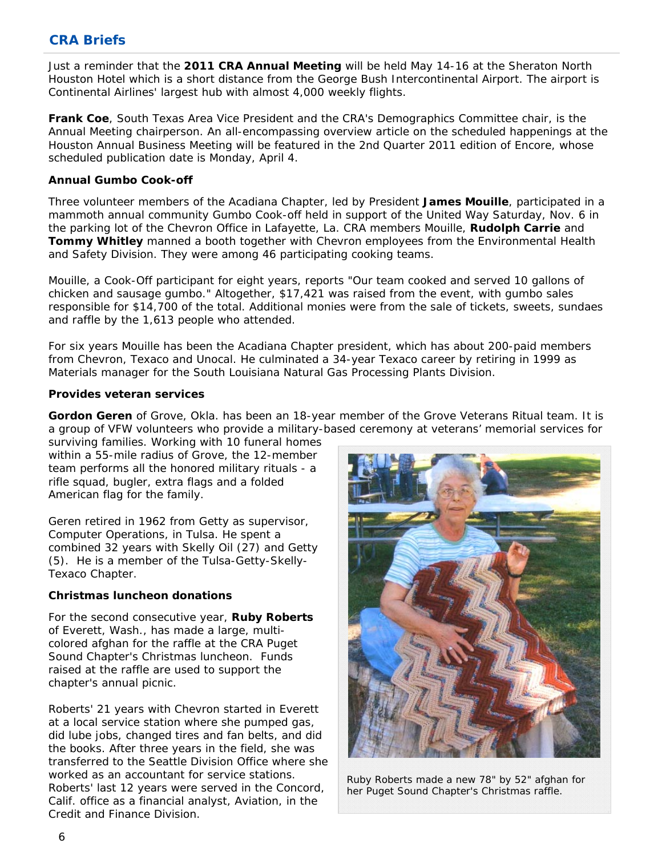# **CRA Briefs**

 Continental Airlines' largest hub with almost 4,000 weekly flights. Just a reminder that the **2011 CRA Annual Meeting** will be held May 14-16 at the Sheraton North Houston Hotel which is a short distance from the George Bush Intercontinental Airport. The airport is

**Frank Coe**, South Texas Area Vice President and the CRA's Demographics Committee chair, is the Annual Meeting chairperson. An all-encompassing overview article on the scheduled happenings at the Houston Annual Business Meeting will be featured in the 2nd Quarter 2011 edition of Encore, whose scheduled publication date is Monday, April 4.

### **Annual Gumbo Cook-off**

Three volunteer members of the Acadiana Chapter, led by President **James Mouille**, participated in a mammoth annual community Gumbo Cook-off held in support of the United Way Saturday, Nov. 6 in the parking lot of the Chevron Office in Lafayette, La. CRA members Mouille, **Rudolph Carrie** and **Tommy Whitley** manned a booth together with Chevron employees from the Environmental Health and Safety Division. They were among 46 participating cooking teams.

Mouille, a Cook-Off participant for eight years, reports "Our team cooked and served 10 gallons of chicken and sausage gumbo." Altogether, \$17,421 was raised from the event, with gumbo sales responsible for \$14,700 of the total. Additional monies were from the sale of tickets, sweets, sundaes and raffle by the 1,613 people who attended.

For six years Mouille has been the Acadiana Chapter president, which has about 200-paid members from Chevron, Texaco and Unocal. He culminated a 34-year Texaco career by retiring in 1999 as Materials manager for the South Louisiana Natural Gas Processing Plants Division.

### **Provides veteran services**

**Gordon Geren** of Grove, Okla. has been an 18-year member of the Grove Veterans Ritual team. It is a group of VFW volunteers who provide a military-based ceremony at veterans' memorial services for

surviving families. Working with 10 funeral homes within a 55-mile radius of Grove, the 12-member team performs all the honored military rituals - a rifle squad, bugler, extra flags and a folded American flag for the family.

Geren retired in 1962 from Getty as supervisor, Computer Operations, in Tulsa. He spent a combined 32 years with Skelly Oil (27) and Getty (5). He is a member of the Tulsa-Getty-Skelly-Texaco Chapter.

### **Christmas luncheon donations**

For the second consecutive year, **Ruby Roberts** of Everett, Wash., has made a large, multicolored afghan for the raffle at the CRA Puget Sound Chapter's Christmas luncheon. Funds raised at the raffle are used to support the chapter's annual picnic.

Roberts' 21 years with Chevron started in Everett at a local service station where she pumped gas, did lube jobs, changed tires and fan belts, and did the books. After three years in the field, she was transferred to the Seattle Division Office where she worked as an accountant for service stations. Roberts' last 12 years were served in the Concord, Calif. office as a financial analyst, Aviation, in the Credit and Finance Division.



*Ruby Roberts made a new 78" by 52" afghan for her Puget Sound Chapter's Christmas raffle.*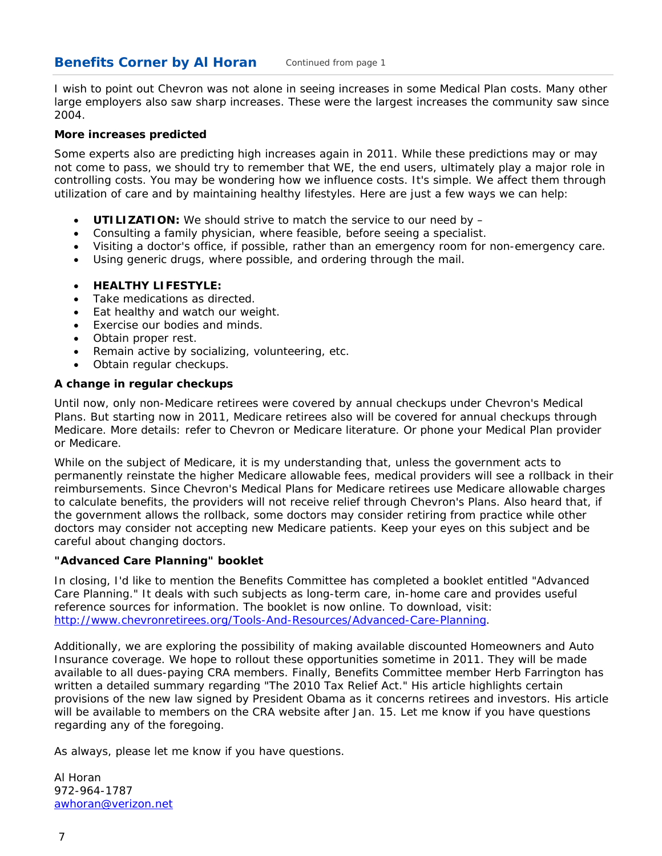#### **Benefits Corner by Al Horan** *Continued from page 1*

I wish to point out Chevron was not alone in seeing increases in some Medical Plan costs. Many other large employers also saw sharp increases. These were the largest increases the community saw since 2004.

### **More increases predicted**

Some experts also are predicting high increases again in 2011. While these predictions may or may not come to pass, we should try to remember that WE, the end users, ultimately play a major role in controlling costs. You may be wondering how we influence costs. It's simple. We affect them through utilization of care and by maintaining healthy lifestyles. Here are just a few ways we can help:

- **UTILIZATION:** We should strive to match the service to our need by –
- Consulting a family physician, where feasible, before seeing a specialist.
- Visiting a doctor's office, if possible, rather than an emergency room for non-emergency care.
- Using generic drugs, where possible, and ordering through the mail.
- **HEALTHY LIFESTYLE:**
- Take medications as directed.
- Eat healthy and watch our weight.
- Exercise our bodies and minds.
- Obtain proper rest.
- Remain active by socializing, volunteering, etc.
- Obtain regular checkups.

# **A change in regular checkups**

Until now, only non-Medicare retirees were covered by annual checkups under Chevron's Medical Plans. But starting now in 2011, Medicare retirees also will be covered for annual checkups through Medicare. More details: refer to Chevron or Medicare literature. Or phone your Medical Plan provider or Medicare.

While on the subject of Medicare, it is my understanding that, unless the government acts to permanently reinstate the higher Medicare allowable fees, medical providers will see a rollback in their reimbursements. Since Chevron's Medical Plans for Medicare retirees use Medicare allowable charges to calculate benefits, the providers will not receive relief through Chevron's Plans. Also heard that, if the government allows the rollback, some doctors may consider retiring from practice while other doctors may consider not accepting new Medicare patients. Keep your eyes on this subject and be careful about changing doctors.

### **"Advanced Care Planning" booklet**

In closing, I'd like to mention the Benefits Committee has completed a booklet entitled "Advanced Care Planning." It deals with such subjects as long-term care, in-home care and provides useful reference sources for information. The booklet is now online. To download, visit: http://www.chevronretirees.org/Tools-And-Resources/Advanced-Care-Planning.

Additionally, we are exploring the possibility of making available discounted Homeowners and Auto Insurance coverage. We hope to rollout these opportunities sometime in 2011. They will be made available to all dues-paying CRA members. Finally, Benefits Committee member Herb Farrington has written a detailed summary regarding "The 2010 Tax Relief Act." His article highlights certain provisions of the new law signed by President Obama as it concerns retirees and investors. His article will be available to members on the CRA website after Jan. 15. Let me know if you have questions regarding any of the foregoing.

As always, please let me know if you have questions.

Al Horan 972-964-1787 awhoran@verizon.net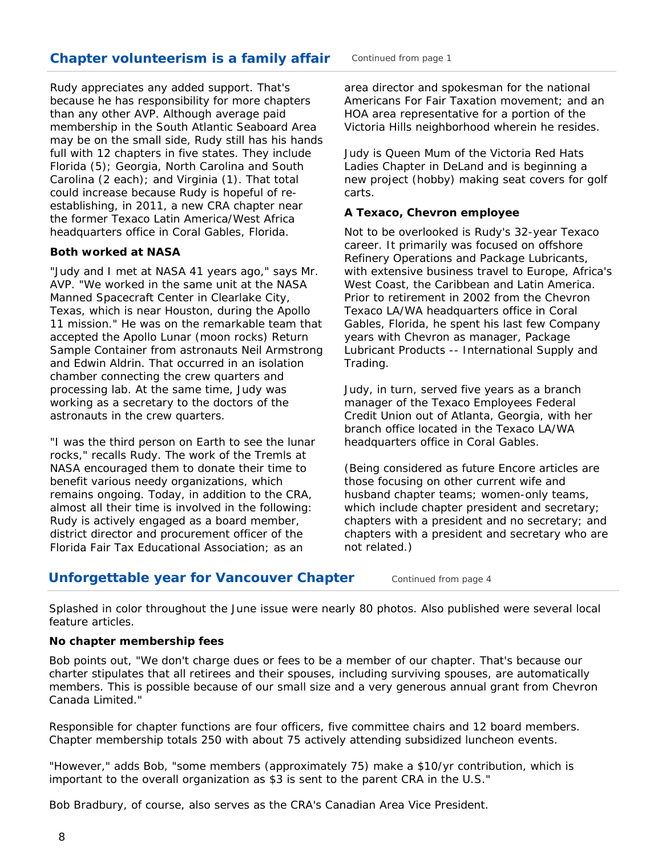# **Chapter volunteerism is a family affair**

Rudy appreciates any added support. That's because he has responsibility for more chapters than any other AVP. Although average paid membership in the South Atlantic Seaboard Area may be on the small side, Rudy still has his hands full with 12 chapters in five states. They include Florida (5); Georgia, North Carolina and South Carolina (2 each); and Virginia (1). That total could increase because Rudy is hopeful of reestablishing, in 2011, a new CRA chapter near the former Texaco Latin America/West Africa headquarters office in Coral Gables, Florida.

### **Both worked at NASA**

"Judy and I met at NASA 41 years ago," says Mr. AVP. "We worked in the same unit at the NASA Manned Spacecraft Center in Clearlake City, Texas, which is near Houston, during the Apollo 11 mission." He was on the remarkable team that accepted the Apollo Lunar (moon rocks) Return Sample Container from astronauts Neil Armstrong and Edwin Aldrin. That occurred in an isolation chamber connecting the crew quarters and processing lab. At the same time, Judy was working as a secretary to the doctors of the astronauts in the crew quarters.

"I was the third person on Earth to see the lunar rocks," recalls Rudy. The work of the Tremls at NASA encouraged them to donate their time to benefit various needy organizations, which remains ongoing. Today, in addition to the CRA, almost all their time is involved in the following: Rudy is actively engaged as a board member, district director and procurement officer of the Florida Fair Tax Educational Association; as an

area director and spokesman for the national Americans For Fair Taxation movement; and an HOA area representative for a portion of the Victoria Hills neighborhood wherein he resides.

Judy is Queen Mum of the Victoria Red Hats Ladies Chapter in DeLand and is beginning a new project (hobby) making seat covers for golf carts.

### **A Texaco, Chevron employee**

Not to be overlooked is Rudy's 32-year Texaco career. It primarily was focused on offshore Refinery Operations and Package Lubricants, with extensive business travel to Europe, Africa's West Coast, the Caribbean and Latin America. Prior to retirement in 2002 from the Chevron Texaco LA/WA headquarters office in Coral Gables, Florida, he spent his last few Company years with Chevron as manager, Package Lubricant Products -- International Supply and Trading.

Judy, in turn, served five years as a branch manager of the Texaco Employees Federal Credit Union out of Atlanta, Georgia, with her branch office located in the Texaco LA/WA headquarters office in Coral Gables.

(Being considered as future Encore articles are those focusing on other current wife and husband chapter teams; women-only teams, which include chapter president and secretary; chapters with a president and no secretary; and chapters with a president and secretary who are not related.)

# **Unforgettable year for Vancouver Chapter** *Continued from page 4*

Splashed in color throughout the June issue were nearly 80 photos. Also published were several local feature articles.

### **No chapter membership fees**

Bob points out, "We don't charge dues or fees to be a member of our chapter. That's because our charter stipulates that all retirees and their spouses, including surviving spouses, are automatically members. This is possible because of our small size and a very generous annual grant from Chevron Canada Limited."

Responsible for chapter functions are four officers, five committee chairs and 12 board members. Chapter membership totals 250 with about 75 actively attending subsidized luncheon events.

"However," adds Bob, "some members (approximately 75) make a \$10/yr contribution, which is important to the overall organization as \$3 is sent to the parent CRA in the U.S."

Bob Bradbury, of course, also serves as the CRA's Canadian Area Vice President.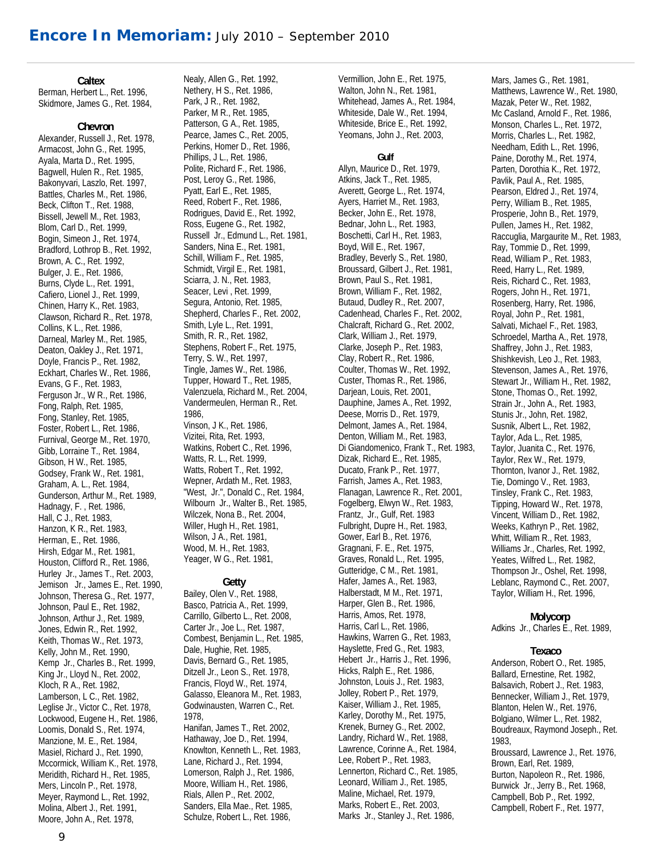### **Caltex**

Berman, Herbert L., Ret. 1996, Skidmore, James G., Ret. 1984,

### **Chevron**

Alexander, Russell J., Ret. 1978, Armacost, John G., Ret. 1995, Ayala, Marta D., Ret. 1995, Bagwell, Hulen R., Ret. 1985, Bakonyvari, Laszlo, Ret. 1997, Battles, Charles M., Ret. 1986, Beck, Clifton T., Ret. 1988, Bissell, Jewell M., Ret. 1983, Blom, Carl D., Ret. 1999, Bogin, Simeon J., Ret. 1974, Bradford, Lothrop B., Ret. 1992, Brown, A. C., Ret. 1992, Bulger, J. E., Ret. 1986, Burns, Clyde L., Ret. 1991, Cafiero, Lionel J., Ret. 1999, Chinen, Harry K., Ret. 1983, Clawson, Richard R., Ret. 1978, Collins, K L., Ret. 1986, Darneal, Marley M., Ret. 1985, Deaton, Oakley J., Ret. 1971, Doyle, Francis P., Ret. 1982, Eckhart, Charles W., Ret. 1986, Evans, G F., Ret. 1983, Ferguson Jr., W R., Ret. 1986, Fong, Ralph, Ret. 1985, Fong, Stanley, Ret. 1985, Foster, Robert L., Ret. 1986, Furnival, George M., Ret. 1970, Gibb, Lorraine T., Ret. 1984, Gibson, H W., Ret. 1985, Godsey, Frank W., Ret. 1981, Graham, A. L., Ret. 1984, Gunderson, Arthur M., Ret. 1989, Hadnagy, F. , Ret. 1986, Hall, C J., Ret. 1983, Hanzon, K R., Ret. 1983, Herman, E., Ret. 1986, Hirsh, Edgar M., Ret. 1981, Houston, Clifford R., Ret. 1986, Hurley Jr., James T., Ret. 2003, Jemison Jr., James E., Ret. 1990, Johnson, Theresa G., Ret. 1977, Johnson, Paul E., Ret. 1982, Johnson, Arthur J., Ret. 1989, Jones, Edwin R., Ret. 1992, Keith, Thomas W., Ret. 1973, Kelly, John M., Ret. 1990, Kemp Jr., Charles B., Ret. 1999, King Jr., Lloyd N., Ret. 2002, Kloch, R A., Ret. 1982, Lamberson, L C., Ret. 1982, Leglise Jr., Victor C., Ret. 1978, Lockwood, Eugene H., Ret. 1986, Loomis, Donald S., Ret. 1974, Manzione, M. E., Ret. 1984, Masiel, Richard J., Ret. 1990, Mccormick, William K., Ret. 1978, Meridith, Richard H., Ret. 1985, Mers, Lincoln P., Ret. 1978, Meyer, Raymond L., Ret. 1992, Molina, Albert J., Ret. 1991, Moore, John A., Ret. 1978,

Nealy, Allen G., Ret. 1992, Nethery, H S., Ret. 1986, Park, J R., Ret. 1982, Parker, M R., Ret. 1985, Patterson, G A., Ret. 1985, Pearce, James C., Ret. 2005, Perkins, Homer D., Ret. 1986, Phillips, J L., Ret. 1986, Polite, Richard F., Ret. 1986, Post, Leroy G., Ret. 1986, Pyatt, Earl E., Ret. 1985, Reed, Robert F., Ret. 1986, Rodrigues, David E., Ret. 1992, Ross, Eugene G., Ret. 1982, Russell Jr., Edmund L., Ret. 1981, Sanders, Nina E., Ret. 1981, Schill, William F., Ret. 1985, Schmidt, Virgil E., Ret. 1981, Sciarra, J. N., Ret. 1983, Seacer, Levi , Ret. 1999, Segura, Antonio, Ret. 1985, Shepherd, Charles F., Ret. 2002, Smith, Lyle L., Ret. 1991, Smith, R. R., Ret. 1982, Stephens, Robert F., Ret. 1975, Terry, S. W., Ret. 1997, Tingle, James W., Ret. 1986, Tupper, Howard T., Ret. 1985, Valenzuela, Richard M., Ret. 2004, Vandermeulen, Herman R., Ret. 1986, Vinson, J K., Ret. 1986, Vizitei, Rita, Ret. 1993, Watkins, Robert C., Ret. 1996, Watts, R. L., Ret. 1999, Watts, Robert T., Ret. 1992, Wepner, Ardath M., Ret. 1983, "West, Jr.", Donald C., Ret. 1984, Wilbourn Jr., Walter B., Ret. 1985, Wilczek, Nona B., Ret. 2004, Willer, Hugh H., Ret. 1981, Wilson, J A., Ret. 1981, Wood, M. H., Ret. 1983, Yeager, W G., Ret. 1981,

### **Getty**

Bailey, Olen V., Ret. 1988, Basco, Patricia A., Ret. 1999, Carrillo, Gilberto L., Ret. 2008, Carter Jr., Joe L., Ret. 1987, Combest, Benjamin L., Ret. 1985, Dale, Hughie, Ret. 1985, Davis, Bernard G., Ret. 1985, Ditzell Jr., Leon S., Ret. 1978, Francis, Floyd W., Ret. 1974, Galasso, Eleanora M., Ret. 1983, Godwinausten, Warren C., Ret. 1978, Hanifan, James T., Ret. 2002, Hathaway, Joe D., Ret. 1994, Knowlton, Kenneth L., Ret. 1983, Lane, Richard J., Ret. 1994, Lomerson, Ralph J., Ret. 1986, Moore, William H., Ret. 1986, Rials, Allen P., Ret. 2002, Sanders, Ella Mae., Ret. 1985, Schulze, Robert L., Ret. 1986,

Vermillion, John E., Ret. 1975, Walton, John N., Ret. 1981, Whitehead, James A., Ret. 1984, Whiteside, Dale W., Ret. 1994, Whiteside, Brice E., Ret. 1992, Yeomans, John J., Ret. 2003,

### **Gulf**

Allyn, Maurice D., Ret. 1979, Atkins, Jack T., Ret. 1985, Averett, George L., Ret. 1974, Ayers, Harriet M., Ret. 1983, Becker, John E., Ret. 1978, Bednar, John L., Ret. 1983, Boschetti, Carl H., Ret. 1983, Boyd, Will E., Ret. 1967, Bradley, Beverly S., Ret. 1980, Broussard, Gilbert J., Ret. 1981, Brown, Paul S., Ret. 1981, Brown, William F., Ret. 1982, Butaud, Dudley R., Ret. 2007, Cadenhead, Charles F., Ret. 2002, Chalcraft, Richard G., Ret. 2002, Clark, William J., Ret. 1979, Clarke, Joseph P., Ret. 1983, Clay, Robert R., Ret. 1986, Coulter, Thomas W., Ret. 1992, Custer, Thomas R., Ret. 1986, Darjean, Louis, Ret. 2001, Dauphine, James A., Ret. 1992, Deese, Morris D., Ret. 1979, Delmont, James A., Ret. 1984, Denton, William M., Ret. 1983, Di Giandomenico, Frank T., Ret. 1983, Dizak, Richard E., Ret. 1985, Ducato, Frank P., Ret. 1977, Farrish, James A., Ret. 1983, Flanagan, Lawrence R., Ret. 2001, Fogelberg, Elwyn W., Ret. 1983, Frantz, Jr., Gulf, Ret. 1983 Fulbright, Dupre H., Ret. 1983, Gower, Earl B., Ret. 1976, Gragnani, F. E., Ret. 1975, Graves, Ronald L., Ret. 1995, Gutteridge, C M., Ret. 1981, Hafer, James A., Ret. 1983, Halberstadt, M M., Ret. 1971, Harper, Glen B., Ret. 1986, Harris, Amos, Ret. 1978, Harris, Carl L., Ret. 1986, Hawkins, Warren G., Ret. 1983, Hayslette, Fred G., Ret. 1983, Hebert Jr., Harris J., Ret. 1996, Hicks, Ralph E., Ret. 1986, Johnston, Louis J., Ret. 1983, Jolley, Robert P., Ret. 1979, Kaiser, William J., Ret. 1985, Karley, Dorothy M., Ret. 1975, Krenek, Burney G., Ret. 2002, Landry, Richard W., Ret. 1988, Lawrence, Corinne A., Ret. 1984, Lee, Robert P., Ret. 1983, Lennerton, Richard C., Ret. 1985, Leonard, William J., Ret. 1985, Maline, Michael, Ret. 1979, Marks, Robert E., Ret. 2003, Marks Jr., Stanley J., Ret. 1986,

Mars, James G., Ret. 1981, Matthews, Lawrence W., Ret. 1980, Mazak, Peter W., Ret. 1982, Mc Casland, Arnold F., Ret. 1986, Monson, Charles L., Ret. 1972, Morris, Charles L., Ret. 1982, Needham, Edith L., Ret. 1996, Paine, Dorothy M., Ret. 1974, Parten, Dorothia K., Ret. 1972, Pavlik, Paul A., Ret. 1985, Pearson, Eldred J., Ret. 1974, Perry, William B., Ret. 1985, Prosperie, John B., Ret. 1979, Pullen, James H., Ret. 1982, Raccuglia, Margaurite M., Ret. 1983, Ray, Tommie D., Ret. 1999, Read, William P., Ret. 1983, Reed, Harry L., Ret. 1989, Reis, Richard C., Ret. 1983, Rogers, John H., Ret. 1971, Rosenberg, Harry, Ret. 1986, Royal, John P., Ret. 1981, Salvati, Michael F., Ret. 1983, Schroedel, Martha A., Ret. 1978, Shaffrey, John J., Ret. 1983, Shishkevish, Leo J., Ret. 1983, Stevenson, James A., Ret. 1976, Stewart Jr., William H., Ret. 1982, Stone, Thomas O., Ret. 1992, Strain Jr., John A., Ret. 1983, Stunis Jr., John, Ret. 1982, Susnik, Albert L., Ret. 1982, Taylor, Ada L., Ret. 1985, Taylor, Juanita C., Ret. 1976, Taylor, Rex W., Ret. 1979, Thornton, Ivanor J., Ret. 1982, Tie, Domingo V., Ret. 1983, Tinsley, Frank C., Ret. 1983, Tipping, Howard W., Ret. 1978, Vincent, William D., Ret. 1982, Weeks, Kathryn P., Ret. 1982, Whitt, William R., Ret. 1983, Williams Jr., Charles, Ret. 1992, Yeates, Wilfred L., Ret. 1982, Thompson Jr., Oshel, Ret. 1998, Leblanc, Raymond C., Ret. 2007, Taylor, William H., Ret. 1996,

### **Molycorp**

Adkins Jr., Charles E., Ret. 1989,

### **Texaco**

Anderson, Robert O., Ret. 1985, Ballard, Ernestine, Ret. 1982, Balsavich, Robert J., Ret. 1983, Bennecker, William J., Ret. 1979, Blanton, Helen W., Ret. 1976, Bolgiano, Wilmer L., Ret. 1982, Boudreaux, Raymond Joseph., Ret. 1983, Broussard, Lawrence J., Ret. 1976, Brown, Earl, Ret. 1989, Burton, Napoleon R., Ret. 1986, Burwick Jr., Jerry B., Ret. 1968, Campbell, Bob P., Ret. 1992, Campbell, Robert F., Ret. 1977,